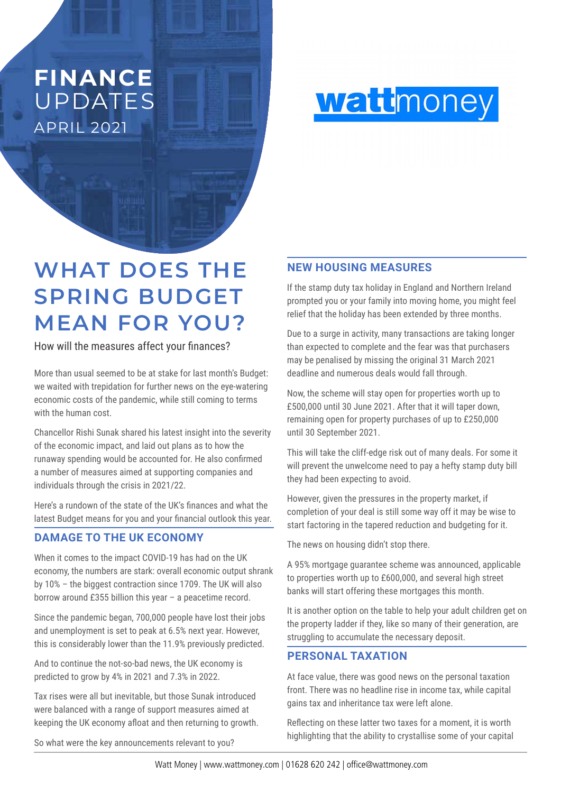## APRIL 2021 **FINANCE** UPDATES



# **WHAT DOES THE SPRING BUDGET MEAN FOR YOU?**

How will the measures affect your finances?

More than usual seemed to be at stake for last month's Budget: we waited with trepidation for further news on the eye-watering economic costs of the pandemic, while still coming to terms with the human cost.

Chancellor Rishi Sunak shared his latest insight into the severity of the economic impact, and laid out plans as to how the runaway spending would be accounted for. He also confirmed a number of measures aimed at supporting companies and individuals through the crisis in 2021/22.

Here's a rundown of the state of the UK's finances and what the latest Budget means for you and your financial outlook this year.

#### **DAMAGE TO THE UK ECONOMY**

When it comes to the impact COVID-19 has had on the UK economy, the numbers are stark: overall economic output shrank by 10% – the biggest contraction since 1709. The UK will also borrow around £355 billion this year – a peacetime record.

Since the pandemic began, 700,000 people have lost their jobs and unemployment is set to peak at 6.5% next year. However, this is considerably lower than the 11.9% previously predicted.

And to continue the not-so-bad news, the UK economy is predicted to grow by 4% in 2021 and 7.3% in 2022.

Tax rises were all but inevitable, but those Sunak introduced were balanced with a range of support measures aimed at keeping the UK economy afloat and then returning to growth.

So what were the key announcements relevant to you?

#### **NEW HOUSING MEASURES**

If the stamp duty tax holiday in England and Northern Ireland prompted you or your family into moving home, you might feel relief that the holiday has been extended by three months.

Due to a surge in activity, many transactions are taking longer than expected to complete and the fear was that purchasers may be penalised by missing the original 31 March 2021 deadline and numerous deals would fall through.

Now, the scheme will stay open for properties worth up to £500,000 until 30 June 2021. After that it will taper down, remaining open for property purchases of up to £250,000 until 30 September 2021.

This will take the cliff-edge risk out of many deals. For some it will prevent the unwelcome need to pay a hefty stamp duty bill they had been expecting to avoid.

However, given the pressures in the property market, if completion of your deal is still some way off it may be wise to start factoring in the tapered reduction and budgeting for it.

The news on housing didn't stop there.

A 95% mortgage guarantee scheme was announced, applicable to properties worth up to £600,000, and several high street banks will start offering these mortgages this month.

It is another option on the table to help your adult children get on the property ladder if they, like so many of their generation, are struggling to accumulate the necessary deposit.

#### **PERSONAL TAXATION**

At face value, there was good news on the personal taxation front. There was no headline rise in income tax, while capital gains tax and inheritance tax were left alone.

Reflecting on these latter two taxes for a moment, it is worth highlighting that the ability to crystallise some of your capital